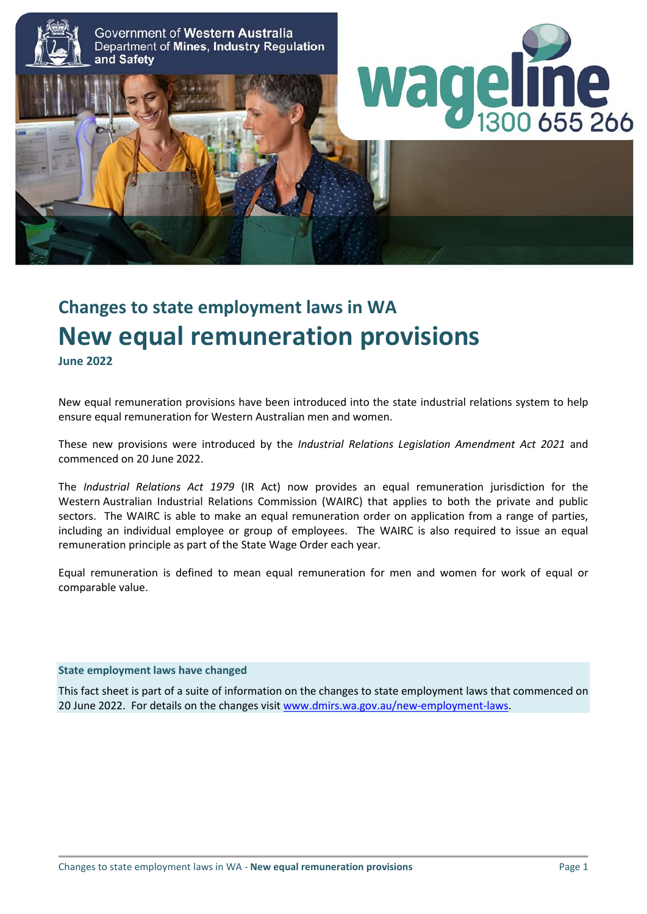

# **Changes to state employment laws in WA New equal remuneration provisions**

**June 2022**

New equal remuneration provisions have been introduced into the state industrial relations system to help ensure equal remuneration for Western Australian men and women.

These new provisions were introduced by the *Industrial Relations Legislation Amendment Act 2021* and commenced on 20 June 2022.

The *Industrial Relations Act 1979* (IR Act) now provides an equal remuneration jurisdiction for the Western Australian Industrial Relations Commission (WAIRC) that applies to both the private and public sectors. The WAIRC is able to make an equal remuneration order on application from a range of parties, including an individual employee or group of employees. The WAIRC is also required to issue an equal remuneration principle as part of the State Wage Order each year.

Equal remuneration is defined to mean equal remuneration for men and women for work of equal or comparable value.

#### **State employment laws have changed**

This fact sheet is part of a suite of information on the changes to state employment laws that commenced on 20 June 2022. For details on the changes visi[t www.dmirs.wa.gov.au/new-employment-laws.](http://www.dmirs.wa.gov.au/new-employment-laws)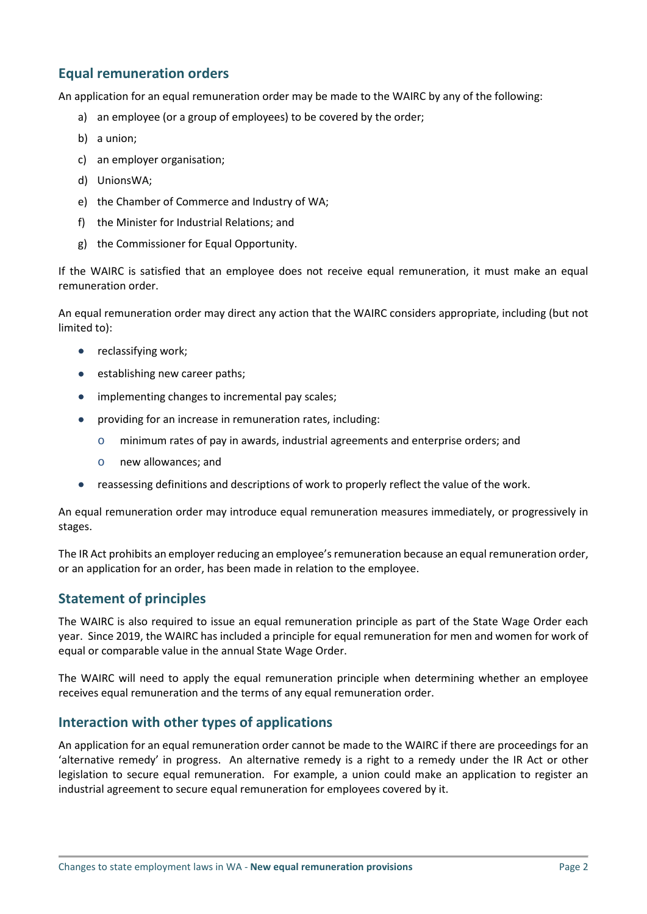# **Equal remuneration orders**

An application for an equal remuneration order may be made to the WAIRC by any of the following:

- a) an employee (or a group of employees) to be covered by the order;
- b) a union;
- c) an employer organisation;
- d) UnionsWA;
- e) the Chamber of Commerce and Industry of WA;
- f) the Minister for Industrial Relations; and
- g) the Commissioner for Equal Opportunity.

If the WAIRC is satisfied that an employee does not receive equal remuneration, it must make an equal remuneration order.

An equal remuneration order may direct any action that the WAIRC considers appropriate, including (but not limited to):

- reclassifying work;
- establishing new career paths;
- implementing changes to incremental pay scales;
- providing for an increase in remuneration rates, including:
	- o minimum rates of pay in awards, industrial agreements and enterprise orders; and
	- o new allowances; and
- reassessing definitions and descriptions of work to properly reflect the value of the work.

An equal remuneration order may introduce equal remuneration measures immediately, or progressively in stages.

The IR Act prohibits an employer reducing an employee's remuneration because an equal remuneration order, or an application for an order, has been made in relation to the employee.

## **Statement of principles**

The WAIRC is also required to issue an equal remuneration principle as part of the State Wage Order each year. Since 2019, the WAIRC has included a principle for equal remuneration for men and women for work of equal or comparable value in the annual State Wage Order.

The WAIRC will need to apply the equal remuneration principle when determining whether an employee receives equal remuneration and the terms of any equal remuneration order.

## **Interaction with other types of applications**

An application for an equal remuneration order cannot be made to the WAIRC if there are proceedings for an 'alternative remedy' in progress. An alternative remedy is a right to a remedy under the IR Act or other legislation to secure equal remuneration. For example, a union could make an application to register an industrial agreement to secure equal remuneration for employees covered by it.